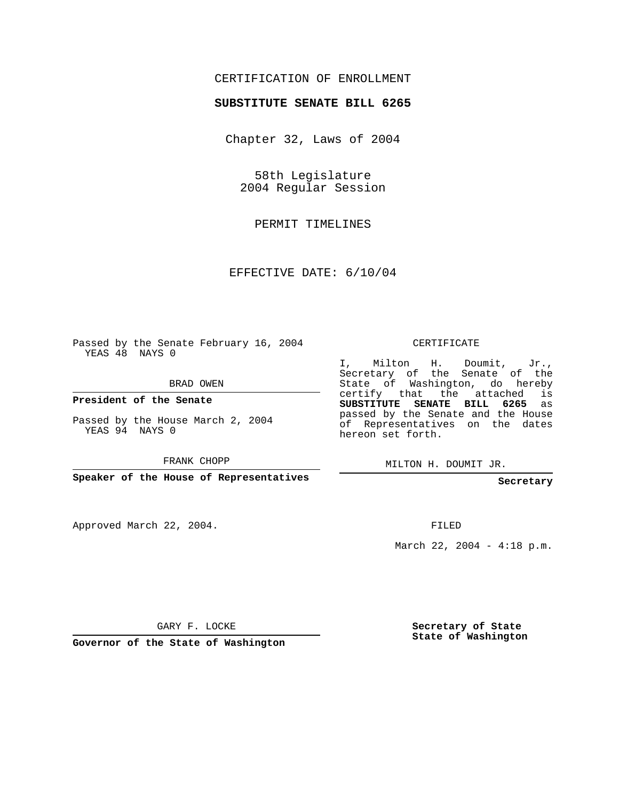## CERTIFICATION OF ENROLLMENT

## **SUBSTITUTE SENATE BILL 6265**

Chapter 32, Laws of 2004

58th Legislature 2004 Regular Session

PERMIT TIMELINES

EFFECTIVE DATE: 6/10/04

Passed by the Senate February 16, 2004 YEAS 48 NAYS 0

BRAD OWEN

**President of the Senate**

Passed by the House March 2, 2004 YEAS 94 NAYS 0

FRANK CHOPP

**Speaker of the House of Representatives**

Approved March 22, 2004.

CERTIFICATE

I, Milton H. Doumit, Jr., Secretary of the Senate of the State of Washington, do hereby certify that the attached is **SUBSTITUTE SENATE BILL 6265** as passed by the Senate and the House of Representatives on the dates hereon set forth.

MILTON H. DOUMIT JR.

**Secretary**

FILED

March 22, 2004 - 4:18 p.m.

GARY F. LOCKE

**Governor of the State of Washington**

**Secretary of State State of Washington**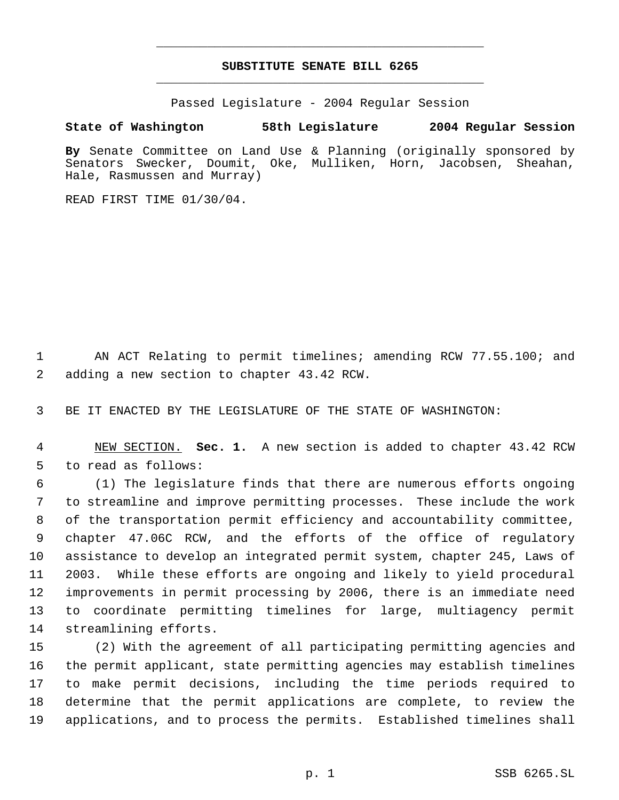## **SUBSTITUTE SENATE BILL 6265** \_\_\_\_\_\_\_\_\_\_\_\_\_\_\_\_\_\_\_\_\_\_\_\_\_\_\_\_\_\_\_\_\_\_\_\_\_\_\_\_\_\_\_\_\_

\_\_\_\_\_\_\_\_\_\_\_\_\_\_\_\_\_\_\_\_\_\_\_\_\_\_\_\_\_\_\_\_\_\_\_\_\_\_\_\_\_\_\_\_\_

Passed Legislature - 2004 Regular Session

## **State of Washington 58th Legislature 2004 Regular Session**

**By** Senate Committee on Land Use & Planning (originally sponsored by Senators Swecker, Doumit, Oke, Mulliken, Horn, Jacobsen, Sheahan, Hale, Rasmussen and Murray)

READ FIRST TIME 01/30/04.

 AN ACT Relating to permit timelines; amending RCW 77.55.100; and adding a new section to chapter 43.42 RCW.

BE IT ENACTED BY THE LEGISLATURE OF THE STATE OF WASHINGTON:

 NEW SECTION. **Sec. 1.** A new section is added to chapter 43.42 RCW to read as follows:

 (1) The legislature finds that there are numerous efforts ongoing to streamline and improve permitting processes. These include the work of the transportation permit efficiency and accountability committee, chapter 47.06C RCW, and the efforts of the office of regulatory assistance to develop an integrated permit system, chapter 245, Laws of 2003. While these efforts are ongoing and likely to yield procedural improvements in permit processing by 2006, there is an immediate need to coordinate permitting timelines for large, multiagency permit streamlining efforts.

 (2) With the agreement of all participating permitting agencies and the permit applicant, state permitting agencies may establish timelines to make permit decisions, including the time periods required to determine that the permit applications are complete, to review the applications, and to process the permits. Established timelines shall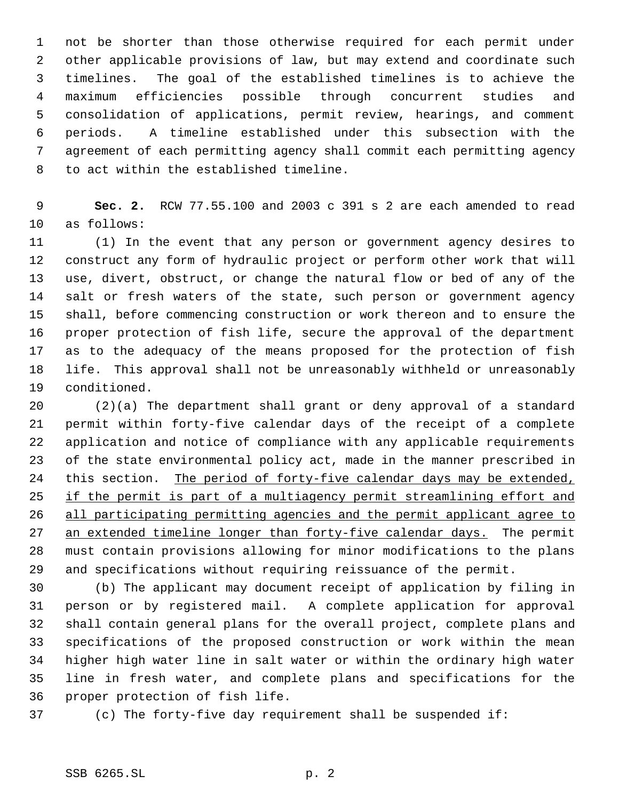not be shorter than those otherwise required for each permit under other applicable provisions of law, but may extend and coordinate such timelines. The goal of the established timelines is to achieve the maximum efficiencies possible through concurrent studies and consolidation of applications, permit review, hearings, and comment periods. A timeline established under this subsection with the agreement of each permitting agency shall commit each permitting agency to act within the established timeline.

 **Sec. 2.** RCW 77.55.100 and 2003 c 391 s 2 are each amended to read as follows:

 (1) In the event that any person or government agency desires to construct any form of hydraulic project or perform other work that will use, divert, obstruct, or change the natural flow or bed of any of the salt or fresh waters of the state, such person or government agency shall, before commencing construction or work thereon and to ensure the proper protection of fish life, secure the approval of the department as to the adequacy of the means proposed for the protection of fish life. This approval shall not be unreasonably withheld or unreasonably conditioned.

 (2)(a) The department shall grant or deny approval of a standard permit within forty-five calendar days of the receipt of a complete application and notice of compliance with any applicable requirements of the state environmental policy act, made in the manner prescribed in 24 this section. The period of forty-five calendar days may be extended, 25 if the permit is part of a multiagency permit streamlining effort and 26 all participating permitting agencies and the permit applicant agree to 27 an extended timeline longer than forty-five calendar days. The permit must contain provisions allowing for minor modifications to the plans and specifications without requiring reissuance of the permit.

 (b) The applicant may document receipt of application by filing in person or by registered mail. A complete application for approval shall contain general plans for the overall project, complete plans and specifications of the proposed construction or work within the mean higher high water line in salt water or within the ordinary high water line in fresh water, and complete plans and specifications for the proper protection of fish life.

(c) The forty-five day requirement shall be suspended if: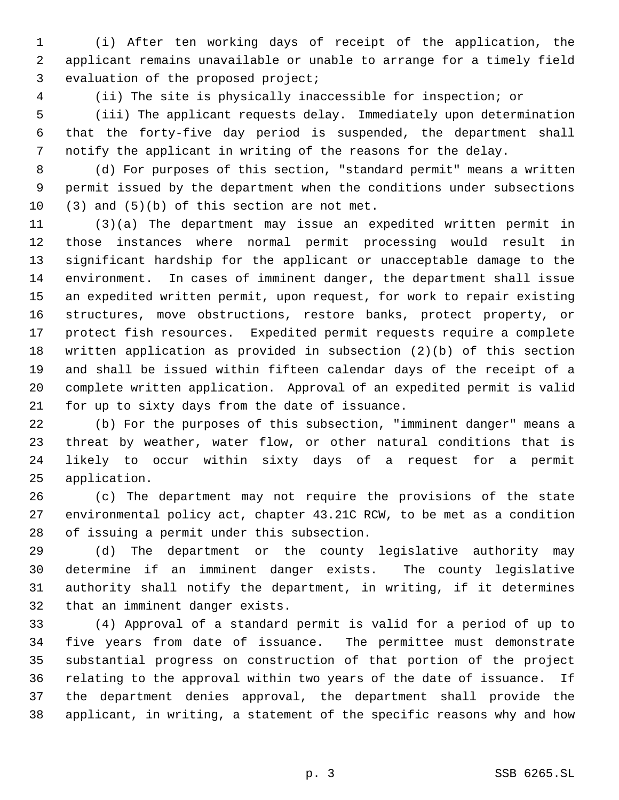(i) After ten working days of receipt of the application, the applicant remains unavailable or unable to arrange for a timely field evaluation of the proposed project;

(ii) The site is physically inaccessible for inspection; or

 (iii) The applicant requests delay. Immediately upon determination that the forty-five day period is suspended, the department shall notify the applicant in writing of the reasons for the delay.

 (d) For purposes of this section, "standard permit" means a written permit issued by the department when the conditions under subsections (3) and (5)(b) of this section are not met.

 (3)(a) The department may issue an expedited written permit in those instances where normal permit processing would result in significant hardship for the applicant or unacceptable damage to the environment. In cases of imminent danger, the department shall issue an expedited written permit, upon request, for work to repair existing structures, move obstructions, restore banks, protect property, or protect fish resources. Expedited permit requests require a complete written application as provided in subsection (2)(b) of this section and shall be issued within fifteen calendar days of the receipt of a complete written application. Approval of an expedited permit is valid for up to sixty days from the date of issuance.

 (b) For the purposes of this subsection, "imminent danger" means a threat by weather, water flow, or other natural conditions that is likely to occur within sixty days of a request for a permit application.

 (c) The department may not require the provisions of the state environmental policy act, chapter 43.21C RCW, to be met as a condition of issuing a permit under this subsection.

 (d) The department or the county legislative authority may determine if an imminent danger exists. The county legislative authority shall notify the department, in writing, if it determines that an imminent danger exists.

 (4) Approval of a standard permit is valid for a period of up to five years from date of issuance. The permittee must demonstrate substantial progress on construction of that portion of the project relating to the approval within two years of the date of issuance. If the department denies approval, the department shall provide the applicant, in writing, a statement of the specific reasons why and how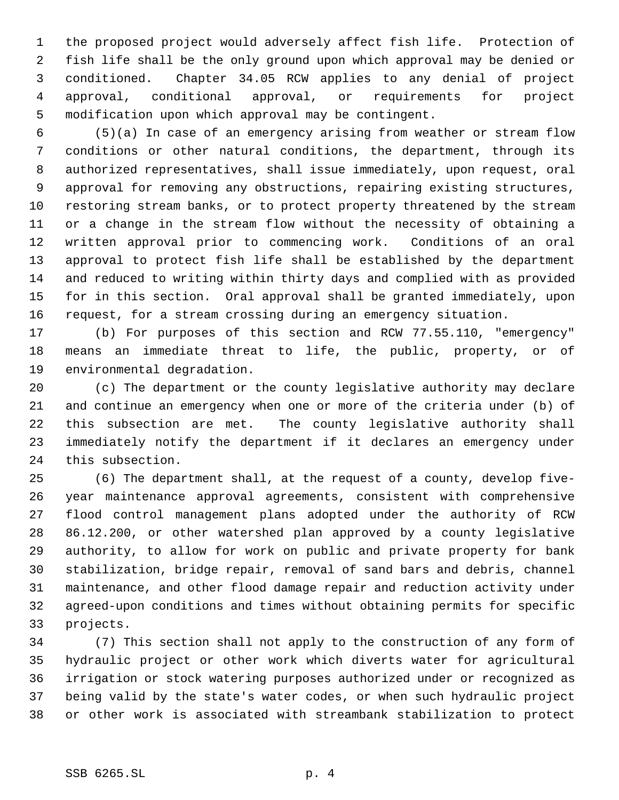the proposed project would adversely affect fish life. Protection of fish life shall be the only ground upon which approval may be denied or conditioned. Chapter 34.05 RCW applies to any denial of project approval, conditional approval, or requirements for project modification upon which approval may be contingent.

 (5)(a) In case of an emergency arising from weather or stream flow conditions or other natural conditions, the department, through its authorized representatives, shall issue immediately, upon request, oral approval for removing any obstructions, repairing existing structures, restoring stream banks, or to protect property threatened by the stream or a change in the stream flow without the necessity of obtaining a written approval prior to commencing work. Conditions of an oral approval to protect fish life shall be established by the department and reduced to writing within thirty days and complied with as provided for in this section. Oral approval shall be granted immediately, upon request, for a stream crossing during an emergency situation.

 (b) For purposes of this section and RCW 77.55.110, "emergency" means an immediate threat to life, the public, property, or of environmental degradation.

 (c) The department or the county legislative authority may declare and continue an emergency when one or more of the criteria under (b) of this subsection are met. The county legislative authority shall immediately notify the department if it declares an emergency under this subsection.

 (6) The department shall, at the request of a county, develop five- year maintenance approval agreements, consistent with comprehensive flood control management plans adopted under the authority of RCW 86.12.200, or other watershed plan approved by a county legislative authority, to allow for work on public and private property for bank stabilization, bridge repair, removal of sand bars and debris, channel maintenance, and other flood damage repair and reduction activity under agreed-upon conditions and times without obtaining permits for specific projects.

 (7) This section shall not apply to the construction of any form of hydraulic project or other work which diverts water for agricultural irrigation or stock watering purposes authorized under or recognized as being valid by the state's water codes, or when such hydraulic project or other work is associated with streambank stabilization to protect